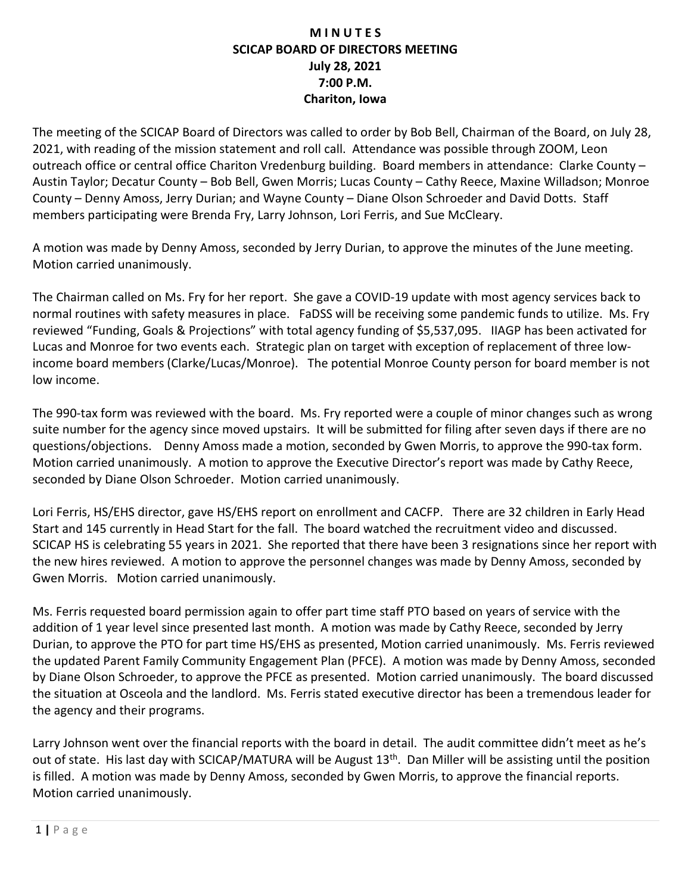## **M I N U T E S SCICAP BOARD OF DIRECTORS MEETING July 28, 2021 7:00 P.M. Chariton, Iowa**

The meeting of the SCICAP Board of Directors was called to order by Bob Bell, Chairman of the Board, on July 28, 2021, with reading of the mission statement and roll call. Attendance was possible through ZOOM, Leon outreach office or central office Chariton Vredenburg building. Board members in attendance: Clarke County – Austin Taylor; Decatur County – Bob Bell, Gwen Morris; Lucas County – Cathy Reece, Maxine Willadson; Monroe County – Denny Amoss, Jerry Durian; and Wayne County – Diane Olson Schroeder and David Dotts. Staff members participating were Brenda Fry, Larry Johnson, Lori Ferris, and Sue McCleary.

A motion was made by Denny Amoss, seconded by Jerry Durian, to approve the minutes of the June meeting. Motion carried unanimously.

The Chairman called on Ms. Fry for her report. She gave a COVID-19 update with most agency services back to normal routines with safety measures in place. FaDSS will be receiving some pandemic funds to utilize. Ms. Fry reviewed "Funding, Goals & Projections" with total agency funding of \$5,537,095. IIAGP has been activated for Lucas and Monroe for two events each. Strategic plan on target with exception of replacement of three lowincome board members (Clarke/Lucas/Monroe). The potential Monroe County person for board member is not low income.

The 990-tax form was reviewed with the board. Ms. Fry reported were a couple of minor changes such as wrong suite number for the agency since moved upstairs. It will be submitted for filing after seven days if there are no questions/objections. Denny Amoss made a motion, seconded by Gwen Morris, to approve the 990-tax form. Motion carried unanimously. A motion to approve the Executive Director's report was made by Cathy Reece, seconded by Diane Olson Schroeder. Motion carried unanimously.

Lori Ferris, HS/EHS director, gave HS/EHS report on enrollment and CACFP. There are 32 children in Early Head Start and 145 currently in Head Start for the fall. The board watched the recruitment video and discussed. SCICAP HS is celebrating 55 years in 2021. She reported that there have been 3 resignations since her report with the new hires reviewed. A motion to approve the personnel changes was made by Denny Amoss, seconded by Gwen Morris. Motion carried unanimously.

Ms. Ferris requested board permission again to offer part time staff PTO based on years of service with the addition of 1 year level since presented last month. A motion was made by Cathy Reece, seconded by Jerry Durian, to approve the PTO for part time HS/EHS as presented, Motion carried unanimously. Ms. Ferris reviewed the updated Parent Family Community Engagement Plan (PFCE). A motion was made by Denny Amoss, seconded by Diane Olson Schroeder, to approve the PFCE as presented. Motion carried unanimously. The board discussed the situation at Osceola and the landlord. Ms. Ferris stated executive director has been a tremendous leader for the agency and their programs.

Larry Johnson went over the financial reports with the board in detail. The audit committee didn't meet as he's out of state. His last day with SCICAP/MATURA will be August 13<sup>th</sup>. Dan Miller will be assisting until the position is filled. A motion was made by Denny Amoss, seconded by Gwen Morris, to approve the financial reports. Motion carried unanimously.